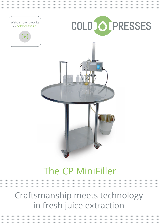

# The CP MiniFiller

Craftsmanship meets technology in fresh juice extraction